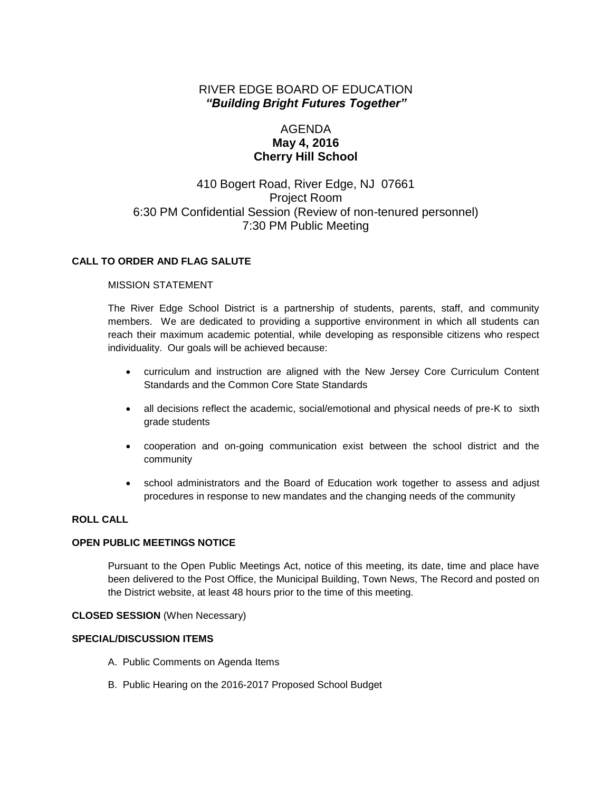# RIVER EDGE BOARD OF EDUCATION *"Building Bright Futures Together"*

# AGENDA **May 4, 2016 Cherry Hill School**

# 410 Bogert Road, River Edge, NJ 07661 Project Room 6:30 PM Confidential Session (Review of non-tenured personnel) 7:30 PM Public Meeting

### **CALL TO ORDER AND FLAG SALUTE**

#### MISSION STATEMENT

The River Edge School District is a partnership of students, parents, staff, and community members. We are dedicated to providing a supportive environment in which all students can reach their maximum academic potential, while developing as responsible citizens who respect individuality. Our goals will be achieved because:

- curriculum and instruction are aligned with the New Jersey Core Curriculum Content Standards and the Common Core State Standards
- all decisions reflect the academic, social/emotional and physical needs of pre-K to sixth grade students
- cooperation and on-going communication exist between the school district and the community
- school administrators and the Board of Education work together to assess and adjust procedures in response to new mandates and the changing needs of the community

#### **ROLL CALL**

#### **OPEN PUBLIC MEETINGS NOTICE**

Pursuant to the Open Public Meetings Act, notice of this meeting, its date, time and place have been delivered to the Post Office, the Municipal Building, Town News, The Record and posted on the District website, at least 48 hours prior to the time of this meeting.

#### **CLOSED SESSION** (When Necessary)

### **SPECIAL/DISCUSSION ITEMS**

- A. Public Comments on Agenda Items
- B. Public Hearing on the 2016-2017 Proposed School Budget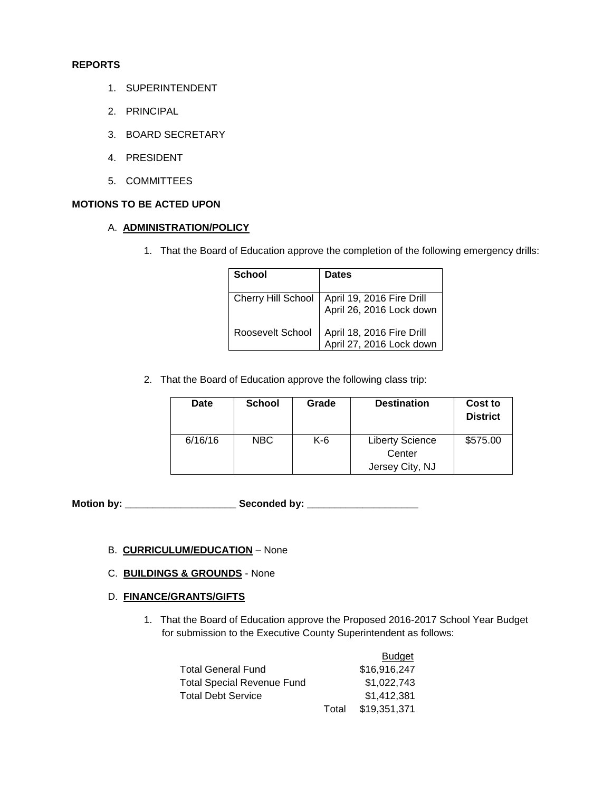#### **REPORTS**

- 1. SUPERINTENDENT
- 2. PRINCIPAL
- 3. BOARD SECRETARY
- 4. PRESIDENT
- 5. COMMITTEES

## **MOTIONS TO BE ACTED UPON**

#### A. **ADMINISTRATION/POLICY**

1. That the Board of Education approve the completion of the following emergency drills:

| School             | <b>Dates</b>                                          |
|--------------------|-------------------------------------------------------|
| Cherry Hill School | April 19, 2016 Fire Drill<br>April 26, 2016 Lock down |
| Roosevelt School   | April 18, 2016 Fire Drill<br>April 27, 2016 Lock down |

2. That the Board of Education approve the following class trip:

| Date    | <b>School</b> | Grade | <b>Destination</b>                                  | Cost to<br><b>District</b> |
|---------|---------------|-------|-----------------------------------------------------|----------------------------|
| 6/16/16 | NBC.          | K-6   | <b>Liberty Science</b><br>Center<br>Jersey City, NJ | \$575.00                   |

**Motion by: \_\_\_\_\_\_\_\_\_\_\_\_\_\_\_\_\_\_\_\_ Seconded by: \_\_\_\_\_\_\_\_\_\_\_\_\_\_\_\_\_\_\_\_**

### B. **CURRICULUM/EDUCATION** – None

### C. **BUILDINGS & GROUNDS** - None

#### D. **FINANCE/GRANTS/GIFTS**

1. That the Board of Education approve the Proposed 2016-2017 School Year Budget for submission to the Executive County Superintendent as follows:

|                            |       | Budget       |  |
|----------------------------|-------|--------------|--|
| Total General Fund         |       | \$16,916,247 |  |
| Total Special Revenue Fund |       | \$1.022.743  |  |
| Total Debt Service         |       | \$1.412.381  |  |
|                            | Total | \$19,351,371 |  |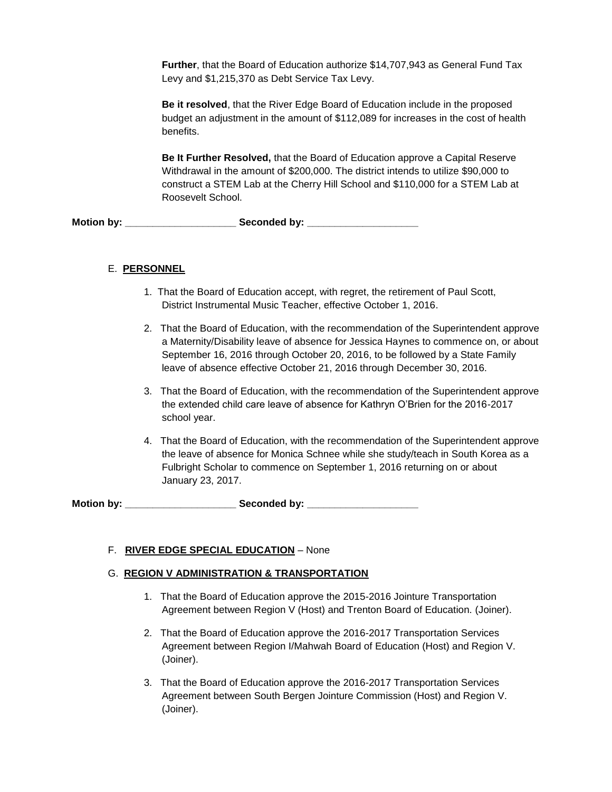**Further**, that the Board of Education authorize \$14,707,943 as General Fund Tax Levy and \$1,215,370 as Debt Service Tax Levy.

**Be it resolved**, that the River Edge Board of Education include in the proposed budget an adjustment in the amount of \$112,089 for increases in the cost of health benefits.

**Be It Further Resolved,** that the Board of Education approve a Capital Reserve Withdrawal in the amount of \$200,000. The district intends to utilize \$90,000 to construct a STEM Lab at the Cherry Hill School and \$110,000 for a STEM Lab at Roosevelt School.

**Motion by: \_\_\_\_\_\_\_\_\_\_\_\_\_\_\_\_\_\_\_\_ Seconded by: \_\_\_\_\_\_\_\_\_\_\_\_\_\_\_\_\_\_\_\_**

## E. **PERSONNEL**

- 1. That the Board of Education accept, with regret, the retirement of Paul Scott, District Instrumental Music Teacher, effective October 1, 2016.
- 2. That the Board of Education, with the recommendation of the Superintendent approve a Maternity/Disability leave of absence for Jessica Haynes to commence on, or about September 16, 2016 through October 20, 2016, to be followed by a State Family leave of absence effective October 21, 2016 through December 30, 2016.
- 3. That the Board of Education, with the recommendation of the Superintendent approve the extended child care leave of absence for Kathryn O'Brien for the 2016-2017 school year.
- 4. That the Board of Education, with the recommendation of the Superintendent approve the leave of absence for Monica Schnee while she study/teach in South Korea as a Fulbright Scholar to commence on September 1, 2016 returning on or about January 23, 2017.

Motion by: **Example 20 Seconded by:**  $\bullet$  Seconded by:

## F. **RIVER EDGE SPECIAL EDUCATION** – None

### G. **REGION V ADMINISTRATION & TRANSPORTATION**

- 1. That the Board of Education approve the 2015-2016 Jointure Transportation Agreement between Region V (Host) and Trenton Board of Education. (Joiner).
- 2. That the Board of Education approve the 2016-2017 Transportation Services Agreement between Region I/Mahwah Board of Education (Host) and Region V. (Joiner).
- 3. That the Board of Education approve the 2016-2017 Transportation Services Agreement between South Bergen Jointure Commission (Host) and Region V. (Joiner).